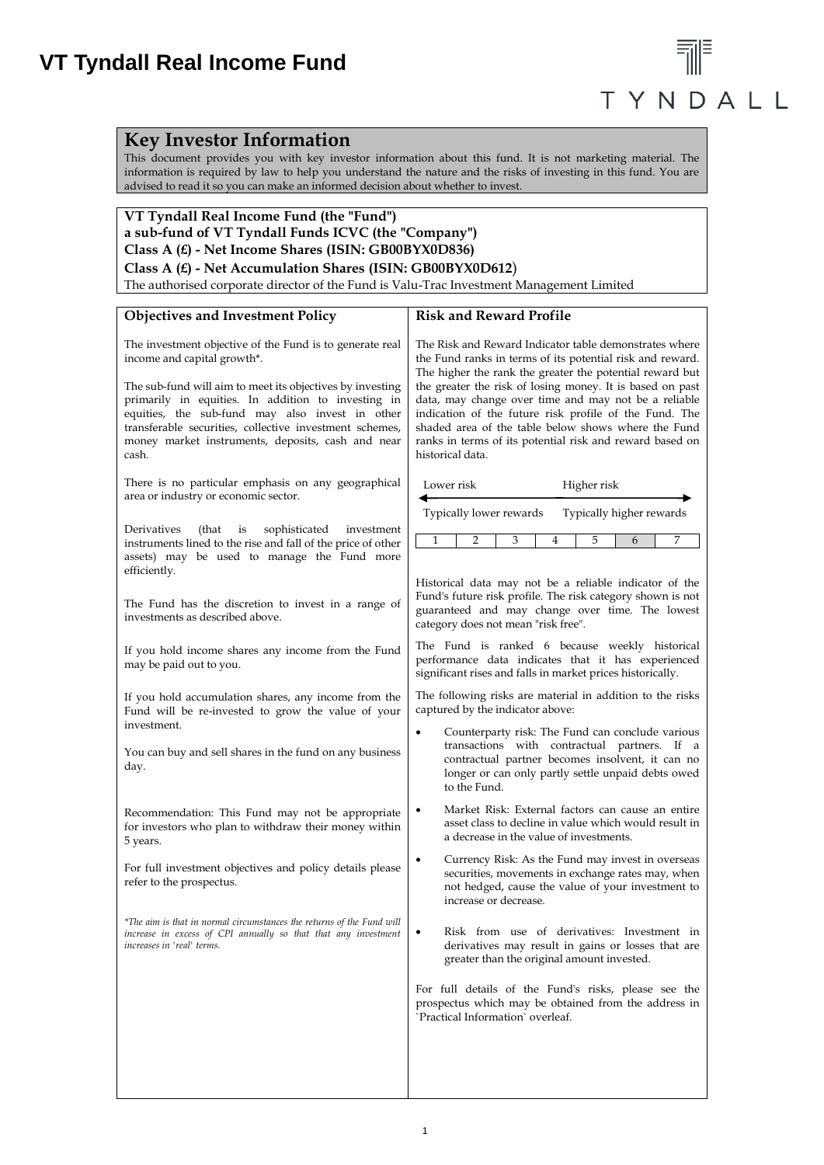### **Key Investor Information**

This document provides you with key investor information about this fund. It is not marketing material. The information is required by law to help you understand the nature and the risks of investing in this fund. You are advised to read it so you can make an informed decision about whether to invest.

### **VT Tyndall Real Income Fund (the "Fund") a sub-fund of VT Tyndall Funds ICVC (the "Company") Class A (£) - Net Income Shares (ISIN: GB00BYX0D836)**

**Class A (£) - Net Accumulation Shares (ISIN: GB00BYX0D612**)

The authorised corporate director of the Fund is Valu-Trac Investment Management Limited

| <b>Objectives and Investment Policy</b>                                                                                                                                                                                                                                                                                                                                       | <b>Risk and Reward Profile</b>                                                                                                                                                                                                                                                                                                                                                                                                                                                    |  |
|-------------------------------------------------------------------------------------------------------------------------------------------------------------------------------------------------------------------------------------------------------------------------------------------------------------------------------------------------------------------------------|-----------------------------------------------------------------------------------------------------------------------------------------------------------------------------------------------------------------------------------------------------------------------------------------------------------------------------------------------------------------------------------------------------------------------------------------------------------------------------------|--|
| The investment objective of the Fund is to generate real<br>income and capital growth*.<br>The sub-fund will aim to meet its objectives by investing<br>primarily in equities. In addition to investing in<br>equities, the sub-fund may also invest in other<br>transferable securities, collective investment schemes,<br>money market instruments, deposits, cash and near | The Risk and Reward Indicator table demonstrates where<br>the Fund ranks in terms of its potential risk and reward.<br>The higher the rank the greater the potential reward but<br>the greater the risk of losing money. It is based on past<br>data, may change over time and may not be a reliable<br>indication of the future risk profile of the Fund. The<br>shaded area of the table below shows where the Fund<br>ranks in terms of its potential risk and reward based on |  |
| cash.<br>There is no particular emphasis on any geographical<br>area or industry or economic sector.                                                                                                                                                                                                                                                                          | historical data.<br>Lower risk<br>Higher risk                                                                                                                                                                                                                                                                                                                                                                                                                                     |  |
| Derivatives<br>(that)<br>is<br>sophisticated<br>investment<br>instruments lined to the rise and fall of the price of other<br>assets) may be used to manage the Fund more<br>efficiently.<br>The Fund has the discretion to invest in a range of<br>investments as described above.                                                                                           | Typically higher rewards<br>Typically lower rewards<br>$\mathbf{1}$<br>3<br>4<br>5<br>7<br>2<br>6<br>Historical data may not be a reliable indicator of the<br>Fund's future risk profile. The risk category shown is not<br>guaranteed and may change over time. The lowest                                                                                                                                                                                                      |  |
| If you hold income shares any income from the Fund<br>may be paid out to you.                                                                                                                                                                                                                                                                                                 | category does not mean "risk free".<br>The Fund is ranked 6 because weekly historical<br>performance data indicates that it has experienced<br>significant rises and falls in market prices historically.                                                                                                                                                                                                                                                                         |  |
| If you hold accumulation shares, any income from the<br>Fund will be re-invested to grow the value of your<br>investment.<br>You can buy and sell shares in the fund on any business<br>day.                                                                                                                                                                                  | The following risks are material in addition to the risks<br>captured by the indicator above:<br>Counterparty risk: The Fund can conclude various<br>transactions with contractual partners. If a<br>contractual partner becomes insolvent, it can no<br>longer or can only partly settle unpaid debts owed<br>to the Fund.                                                                                                                                                       |  |
| Recommendation: This Fund may not be appropriate<br>for investors who plan to withdraw their money within<br>5 years.                                                                                                                                                                                                                                                         | Market Risk: External factors can cause an entire<br>٠<br>asset class to decline in value which would result in<br>a decrease in the value of investments.                                                                                                                                                                                                                                                                                                                        |  |
| For full investment objectives and policy details please<br>refer to the prospectus.                                                                                                                                                                                                                                                                                          | Currency Risk: As the Fund may invest in overseas<br>٠<br>securities, movements in exchange rates may, when<br>not hedged, cause the value of your investment to<br>increase or decrease.                                                                                                                                                                                                                                                                                         |  |
| *The aim is that in normal circumstances the returns of the Fund will<br>increase in excess of CPI annually so that that any investment<br>increases in 'real' terms.                                                                                                                                                                                                         | Risk from use of derivatives: Investment in<br>٠<br>derivatives may result in gains or losses that are<br>greater than the original amount invested.                                                                                                                                                                                                                                                                                                                              |  |
|                                                                                                                                                                                                                                                                                                                                                                               | For full details of the Fund's risks, please see the<br>prospectus which may be obtained from the address in<br>`Practical Information` overleaf.                                                                                                                                                                                                                                                                                                                                 |  |